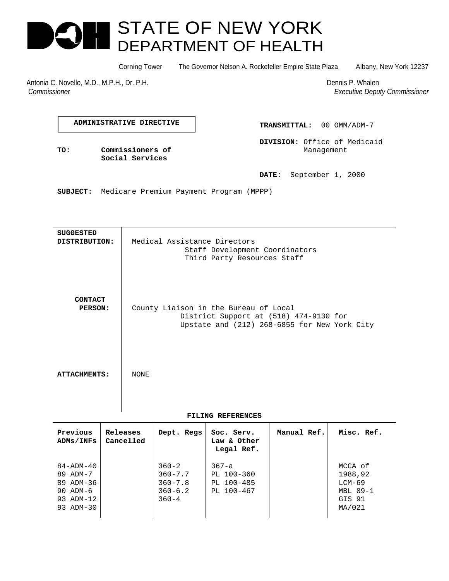# STATE OF NEW YORK DEPARTMENT OF HEALTH

Corning Tower The Governor Nelson A. Rockefeller Empire State Plaza Albany, New York 12237

Antonia C. Novello, M.D., M.P.H., Dr. P.H. Dennis P. Whalen  *Commissioner Executive Deputy Commissioner*

**ADMINISTRATIVE DIRECTIVE**

**Social Services**

**TRANSMITTAL:** 00 OMM/ADM-7

**DIVISION:** Office of Medicaid **TO: Commissioners of Commissioners of Management** 

**DATE:** September 1, 2000

**SUBJECT:** Medicare Premium Payment Program (MPPP)

**SUGGESTED DISTRIBUTION:** Medical Assistance Directors Staff Development Coordinators Third Party Resources Staff **CONTACT PERSON:** County Liaison in the Bureau of Local District Support at (518) 474-9130 for Upstate and (212) 268-6855 for New York City ATTACHMENTS: NONE

## **FILING REFERENCES**

| Previous<br>ADMs/INFs                                  | Releases<br>Cancelled | Dept. Regs                                             | Soc. Serv.<br>Law & Other<br>Legal Ref.             | Manual Ref. | Misc. Ref.                               |
|--------------------------------------------------------|-----------------------|--------------------------------------------------------|-----------------------------------------------------|-------------|------------------------------------------|
| $84 - ADM - 40$<br>89 ADM-7<br>89 ADM-36<br>90 $ADM-6$ |                       | $360 - 2$<br>$360 - 7.7$<br>$360 - 7.8$<br>$360 - 6.2$ | $367 - a$<br>PL 100-360<br>PL 100-485<br>PL 100-467 |             | MCCA of<br>1988,92<br>LCM-69<br>MBL 89-1 |
| 93 ADM-12<br>93 ADM-30                                 |                       | $360 - 4$                                              |                                                     |             | GIS 91<br>MA/021                         |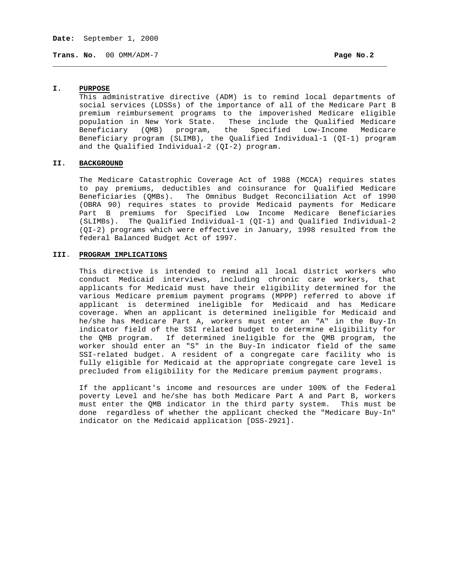**Trans. No.** 00 OMM/ADM-7 **Page No.2**

#### **I. PURPOSE**

This administrative directive (ADM) is to remind local departments of social services (LDSSs) of the importance of all of the Medicare Part B premium reimbursement programs to the impoverished Medicare eligible population in New York State. These include the Qualified Medicare Beneficiary (QMB) program, the Specified Low-Income Medicare Beneficiary program (SLIMB), the Qualified Individual-1 (QI-1) program and the Qualified Individual-2 (QI-2) program.

\_\_\_\_\_\_\_\_\_\_\_\_\_\_\_\_\_\_\_\_\_\_\_\_\_\_\_\_\_\_\_\_\_\_\_\_\_\_\_\_\_\_\_\_\_\_\_\_\_\_\_\_\_\_\_\_\_\_\_\_\_\_\_\_\_\_\_\_\_\_\_\_\_\_\_\_

#### **II. BACKGROUND**

The Medicare Catastrophic Coverage Act of 1988 (MCCA) requires states to pay premiums, deductibles and coinsurance for Qualified Medicare Beneficiaries (QMBs). The Omnibus Budget Reconciliation Act of 1990 (OBRA 90) requires states to provide Medicaid payments for Medicare Part B premiums for Specified Low Income Medicare Beneficiaries (SLIMBs). The Qualified Individual-1 (QI-1) and Qualified Individual-2 (QI-2) programs which were effective in January, 1998 resulted from the federal Balanced Budget Act of 1997.

## **III**. **PROGRAM IMPLICATIONS**

This directive is intended to remind all local district workers who conduct Medicaid interviews, including chronic care workers, that applicants for Medicaid must have their eligibility determined for the various Medicare premium payment programs (MPPP) referred to above if applicant is determined ineligible for Medicaid and has Medicare coverage. When an applicant is determined ineligible for Medicaid and he/she has Medicare Part A, workers must enter an "A" in the Buy-In indicator field of the SSI related budget to determine eligibility for the QMB program. If determined ineligible for the QMB program, the worker should enter an "S" in the Buy-In indicator field of the same SSI-related budget. A resident of a congregate care facility who is fully eligible for Medicaid at the appropriate congregate care level is precluded from eligibility for the Medicare premium payment programs.

If the applicant's income and resources are under 100% of the Federal poverty Level and he/she has both Medicare Part A and Part B, workers must enter the QMB indicator in the third party system. This must be done regardless of whether the applicant checked the "Medicare Buy-In" indicator on the Medicaid application [DSS-2921].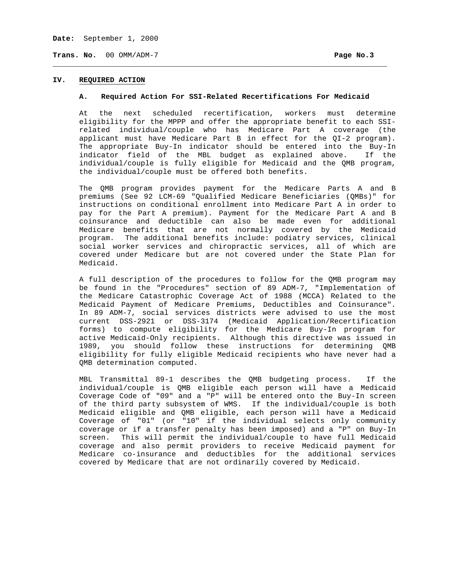**Date:** September 1, 2000

**Trans. No.** 00 OMM/ADM-7 **Page No.3**

# **IV. REQUIRED ACTION**

#### **A. Required Action For SSI-Related Recertifications For Medicaid**

\_\_\_\_\_\_\_\_\_\_\_\_\_\_\_\_\_\_\_\_\_\_\_\_\_\_\_\_\_\_\_\_\_\_\_\_\_\_\_\_\_\_\_\_\_\_\_\_\_\_\_\_\_\_\_\_\_\_\_\_\_\_\_\_\_\_\_\_\_\_\_\_\_\_\_\_

At the next scheduled recertification, workers must determine eligibility for the MPPP and offer the appropriate benefit to each SSIrelated individual/couple who has Medicare Part A coverage (the applicant must have Medicare Part B in effect for the QI-2 program). The appropriate Buy-In indicator should be entered into the Buy-In indicator field of the MBL budget as explained above. If the individual/couple is fully eligible for Medicaid and the QMB program, the individual/couple must be offered both benefits.

The QMB program provides payment for the Medicare Parts A and B premiums (See 92 LCM-69 "Qualified Medicare Beneficiaries (QMBs)" for instructions on conditional enrollment into Medicare Part A in order to pay for the Part A premium). Payment for the Medicare Part A and B coinsurance and deductible can also be made even for additional Medicare benefits that are not normally covered by the Medicaid program. The additional benefits include: podiatry services, clinical social worker services and chiropractic services, all of which are covered under Medicare but are not covered under the State Plan for Medicaid.

A full description of the procedures to follow for the QMB program may be found in the "Procedures" section of 89 ADM-7, "Implementation of the Medicare Catastrophic Coverage Act of 1988 (MCCA) Related to the Medicaid Payment of Medicare Premiums, Deductibles and Coinsurance". In 89 ADM-7, social services districts were advised to use the most current DSS-2921 or DSS-3174 (Medicaid Application/Recertification forms) to compute eligibility for the Medicare Buy-In program for active Medicaid-Only recipients. Although this directive was issued in 1989, you should follow these instructions for determining QMB eligibility for fully eligible Medicaid recipients who have never had a QMB determination computed.

MBL Transmittal 89-1 describes the QMB budgeting process. If the individual/couple is QMB eligible each person will have a Medicaid Coverage Code of "09" and a "P" will be entered onto the Buy-In screen of the third party subsystem of WMS. If the individual/couple is both Medicaid eligible and QMB eligible, each person will have a Medicaid Coverage of "01" (or "10" if the individual selects only community coverage or if a transfer penalty has been imposed) and a "P" on Buy-In screen. This will permit the individual/couple to have full Medicaid coverage and also permit providers to receive Medicaid payment for Medicare co-insurance and deductibles for the additional services covered by Medicare that are not ordinarily covered by Medicaid.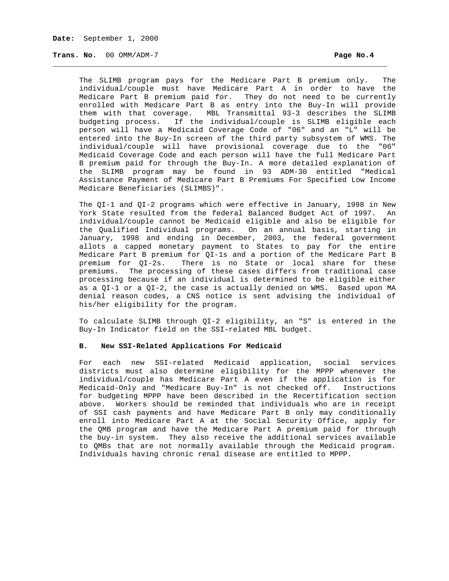**Trans. No.** 00 OMM/ADM-7 **Page No.4**

The SLIMB program pays for the Medicare Part B premium only. The individual/couple must have Medicare Part A in order to have the Medicare Part B premium paid for. They do not need to be currently enrolled with Medicare Part B as entry into the Buy-In will provide them with that coverage. MBL Transmittal 93-3 describes the SLIMB budgeting process. If the individual/couple is SLIMB eligible each person will have a Medicaid Coverage Code of "06" and an "L" will be entered into the Buy-In screen of the third party subsystem of WMS. The individual/couple will have provisional coverage due to the "06" Medicaid Coverage Code and each person will have the full Medicare Part B premium paid for through the Buy-In. A more detailed explanation of the SLIMB program may be found in 93 ADM-30 entitled "Medical Assistance Payment of Medicare Part B Premiums For Specified Low Income Medicare Beneficiaries (SLIMBS)".

\_\_\_\_\_\_\_\_\_\_\_\_\_\_\_\_\_\_\_\_\_\_\_\_\_\_\_\_\_\_\_\_\_\_\_\_\_\_\_\_\_\_\_\_\_\_\_\_\_\_\_\_\_\_\_\_\_\_\_\_\_\_\_\_\_\_\_\_\_\_\_\_\_\_\_\_

The QI-1 and QI-2 programs which were effective in January, 1998 in New York State resulted from the federal Balanced Budget Act of 1997. An individual/couple cannot be Medicaid eligible and also be eligible for the Qualified Individual programs. On an annual basis, starting in January, 1998 and ending in December, 2003, the federal government allots a capped monetary payment to States to pay for the entire Medicare Part B premium for QI-1s and a portion of the Medicare Part B premium for QI-2s. There is no State or local share for these premiums. The processing of these cases differs from traditional case processing because if an individual is determined to be eligible either as a QI-1 or a QI-2, the case is actually denied on WMS. Based upon MA denial reason codes, a CNS notice is sent advising the individual of his/her eligibility for the program.

To calculate SLIMB through QI-2 eligibility, an "S" is entered in the Buy-In Indicator field on the SSI-related MBL budget.

### **B. New SSI-Related Applications For Medicaid**

For each new SSI-related Medicaid application, social services districts must also determine eligibility for the MPPP whenever the individual/couple has Medicare Part A even if the application is for Medicaid-Only and "Medicare Buy-In" is not checked off. Instructions for budgeting MPPP have been described in the Recertification section above. Workers should be reminded that individuals who are in receipt of SSI cash payments and have Medicare Part B only may conditionally enroll into Medicare Part A at the Social Security Office, apply for the QMB program and have the Medicare Part A premium paid for through the buy-in system. They also receive the additional services available to QMBs that are not normally available through the Medicaid program. Individuals having chronic renal disease are entitled to MPPP.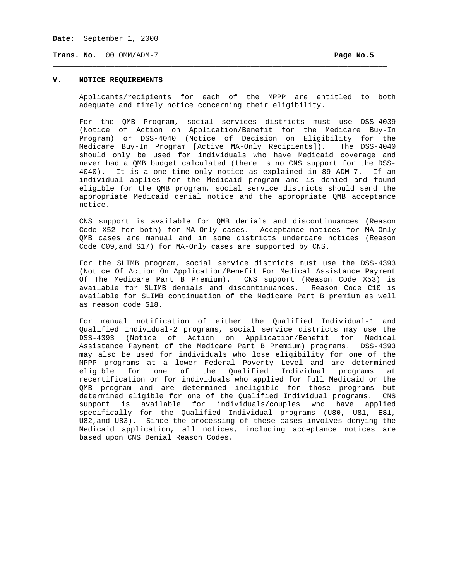**Date:** September 1, 2000

**Trans. No.** 00 OMM/ADM-7 **Page No.5**

# **V. NOTICE REQUIREMENTS**

Applicants/recipients for each of the MPPP are entitled to both adequate and timely notice concerning their eligibility.

\_\_\_\_\_\_\_\_\_\_\_\_\_\_\_\_\_\_\_\_\_\_\_\_\_\_\_\_\_\_\_\_\_\_\_\_\_\_\_\_\_\_\_\_\_\_\_\_\_\_\_\_\_\_\_\_\_\_\_\_\_\_\_\_\_\_\_\_\_\_\_\_\_\_\_\_

For the QMB Program, social services districts must use DSS-4039 (Notice of Action on Application/Benefit for the Medicare Buy-In Program) or DSS-4040 (Notice of Decision on Eligibility for the Medicare Buy-In Program [Active MA-Only Recipients]). The DSS-4040 should only be used for individuals who have Medicaid coverage and never had a QMB budget calculated (there is no CNS support for the DSS-4040). It is a one time only notice as explained in 89 ADM-7. If an individual applies for the Medicaid program and is denied and found eligible for the QMB program, social service districts should send the appropriate Medicaid denial notice and the appropriate QMB acceptance notice.

CNS support is available for QMB denials and discontinuances (Reason Code X52 for both) for MA-Only cases. Acceptance notices for MA-Only QMB cases are manual and in some districts undercare notices (Reason Code C09,and S17) for MA-Only cases are supported by CNS.

For the SLIMB program, social service districts must use the DSS-4393 (Notice Of Action On Application/Benefit For Medical Assistance Payment Of The Medicare Part B Premium). CNS support (Reason Code X53) is available for SLIMB denials and discontinuances. Reason Code C10 is available for SLIMB continuation of the Medicare Part B premium as well as reason code S18.

For manual notification of either the Qualified Individual-1 and Qualified Individual-2 programs, social service districts may use the DSS-4393 (Notice of Action on Application/Benefit for Medical Assistance Payment of the Medicare Part B Premium) programs. DSS-4393 may also be used for individuals who lose eligibility for one of the MPPP programs at a lower Federal Poverty Level and are determined eligible for one of the Qualified Individual programs at recertification or for individuals who applied for full Medicaid or the QMB program and are determined ineligible for those programs but determined eligible for one of the Qualified Individual programs. CNS support is available for individuals/couples who have applied specifically for the Qualified Individual programs (U80, U81, E81, U82,and U83). Since the processing of these cases involves denying the Medicaid application, all notices, including acceptance notices are based upon CNS Denial Reason Codes.